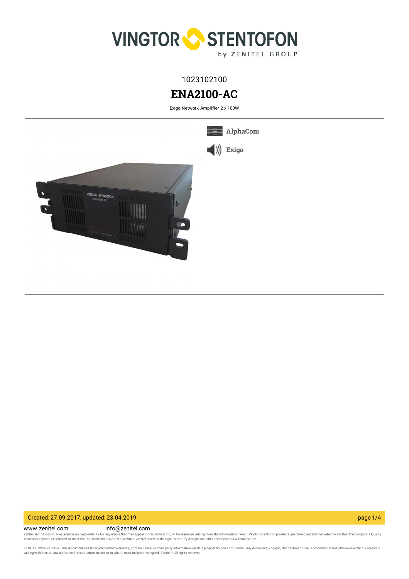

1023102100

# **ENA2100-AC**

Exigo Network Amplifier 2 x 100W



## Created: 27.09.2017, updated: 23.04.2019 page 1/4

www.zenitel.com info@zenitel.com Zenitel and its subsidiaries assume no responsibility for any errors that may appear in this publication, or for damages arising from the information therein. Vingtor-Stentofon products are developed and marketed by Zenite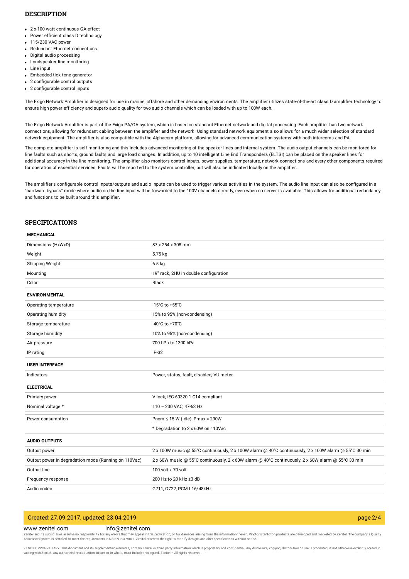## **DESCRIPTION**

- 2 x 100 watt continuous GA effect
- Power efficient class D technology
- 115/230 VAC power
- Redundant Ethernet connections
- Digital audio processing Loudspeaker line monitoring
- Line input
- Embedded tick tone generator
- 2 configurable control outputs
- 2 configurable control inputs

The Exigo Network Amplifier is designed for use in marine, offshore and other demanding environments. The amplifier utilizes state-of-the-art class D amplifier technology to ensure high power efficiency and superb audio quality for two audio channels which can be loaded with up to 100W each.

The Exigo Network Amplifier is part of the Exigo PA/GA system, which is based on standard Ethernet network and digital processing. Each amplifier has two network connections, allowing for redundant cabling between the amplifier and the network. Using standard network equipment also allows for a much wider selection of standard network equipment. The amplifier is also compatible with the Alphacom platform, allowing for advanced communication systems with both intercoms and PA.

The complete amplifier is self-monitoring and this includes advanced monitoring of the speaker lines and internal system. The audio output channels can be monitored for line faults such as shorts, ground faults and large load changes. In addition, up to 10 intelligent Line End Transponders (ELTSI) can be placed on the speaker lines for additional accuracy in the line monitoring. The amplifier also monitors control inputs, power supplies, temperature, network connections and every other components required for operation of essential services. Faults will be reported to the system controller, but will also be indicated locally on the amplifier.

The amplifier's configurable control inputs/outputs and audio inputs can be used to trigger various activities in the system. The audio line input can also be configured in a "hardware bypass" mode where audio on the line input will be forwarded to the 100V channels directly, even when no server is available. This allows for additional redundancy and functions to be built around this amplifier.

### **SPECIFICATIONS**

#### **MECHANICAL**

| Dimensions (HxWxD)                                   | 87 x 254 x 308 mm                                                                                    |
|------------------------------------------------------|------------------------------------------------------------------------------------------------------|
| Weight                                               | 5.75 kg                                                                                              |
| Shipping Weight                                      | $6.5$ kg                                                                                             |
| Mounting                                             | 19" rack, 2HU in double configuration                                                                |
| Color                                                | <b>Black</b>                                                                                         |
| <b>ENVIRONMENTAL</b>                                 |                                                                                                      |
| Operating temperature                                | -15°C to +55°C                                                                                       |
| Operating humidity                                   | 15% to 95% (non-condensing)                                                                          |
| Storage temperature                                  | -40°C to +70°C                                                                                       |
| Storage humidity                                     | 10% to 95% (non-condensing)                                                                          |
| Air pressure                                         | 700 hPa to 1300 hPa                                                                                  |
| IP rating                                            | $IP-32$                                                                                              |
| <b>USER INTERFACE</b>                                |                                                                                                      |
| Indicators                                           | Power, status, fault, disabled, VU meter                                                             |
| <b>ELECTRICAL</b>                                    |                                                                                                      |
| Primary power                                        | V-lock, IEC 60320-1 C14 compliant                                                                    |
| Nominal voltage *                                    | 110 - 230 VAC, 47-63 Hz                                                                              |
| Power consumption                                    | Pnom $\leq$ 15 W (idle), Pmax = 290W                                                                 |
|                                                      | * Degradation to 2 x 60W on 110Vac                                                                   |
| <b>AUDIO OUTPUTS</b>                                 |                                                                                                      |
| Output power                                         | 2 x 100W music @ 55°C continuously, 2 x 100W alarm @ 40°C continuously, 2 x 100W alarm @ 55°C 30 min |
| Output power in degradation mode (Running on 110Vac) | 2 x 60W music @ 55°C continuously, 2 x 60W alarm @ 40°C continuously, 2 x 60W alarm @ 55°C 30 min    |
| Output line                                          | 100 volt / 70 volt                                                                                   |
| Frequency response                                   | 200 Hz to 20 kHz ±3 dB                                                                               |
| Audio codec                                          | G711, G722, PCM L16/48kHz                                                                            |

## Created: 27.09.2017, updated: 23.04.2019 page 2/4

#### www.zenitel.com info@zenitel.com

Zenitel and its subsidiaries assume no responsibility for any errors that may appear in this publication, or for damages arising from the information therein. Vingtor-Stentofon products are developed and marketed by Zenite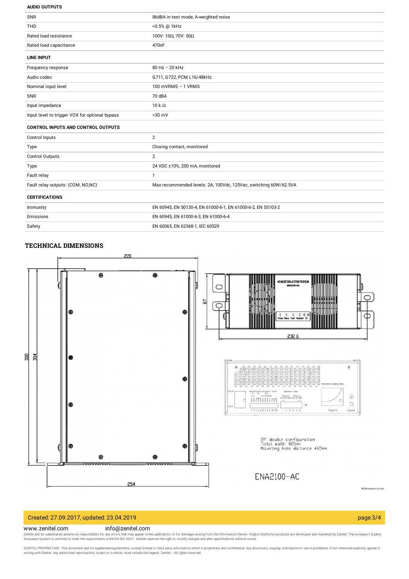#### **AUDIO OUTPUTS**

| <b>SNR</b>                                     | 86dBA in test mode, A-weighted noise                             |
|------------------------------------------------|------------------------------------------------------------------|
| <b>THD</b>                                     | <0.5% @ 1kHz                                                     |
| Rated load resistance                          | 100V: 10Ω, 70V: 50Ω                                              |
| Rated load capacitance                         | 470 <sub>n</sub> F                                               |
| <b>LINE INPUT</b>                              |                                                                  |
| Frequency response                             | 80 Hz - 20 kHz                                                   |
| Audio codec                                    | G711, G722, PCM L16/48kHz                                        |
| Nominal input level                            | 100 mVRMS - 1 VRMS                                               |
| SNR                                            | 70 dBA                                                           |
| Input impedance                                | $10k\Omega$                                                      |
| Input level to trigger VOX for optional bypass | $>30$ mV                                                         |
| <b>CONTROL INPUTS AND CONTROL OUTPUTS</b>      |                                                                  |
| Control Inputs                                 | 2                                                                |
| Type                                           | Closing contact, monitored                                       |
| Control Outputs                                | $\overline{2}$                                                   |
| Type                                           | 24 VDC ±10%, 200 mA, monitored                                   |
| Fault relay                                    | $\mathbf{1}$                                                     |
| Fault relay outputs: (COM, NO,NC)              | Max recommended levels: 2A, 100Vdc, 125Vac, switching 60W/62.5VA |
| <b>CERTIFICATIONS</b>                          |                                                                  |
| Immunity                                       | EN 60945, EN 50130-4, EN 61000-6-1, EN 61000-6-2, EN 55103-2     |
| Emissions                                      | EN 60945, EN 61000-6-3, EN 61000-6-4                             |

| TECUNICAI DIMENICIONIC |  |
|------------------------|--|

Safety **EN 60065, EN 62368-1, IEC 60529** 



## Created: 27.09.2017, updated: 23.04.2019 page 3/4

### www.zenitel.com info@zenitel.com

Zenitel and its subsidiaries assume no responsibility for any errors that may appear in this publication, or for damages arising from the information therein. Vingtor-Stentofon products are developed and marketed by Zenite